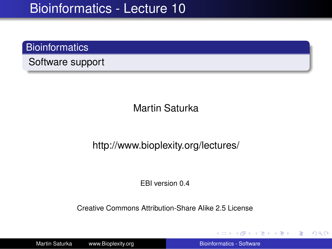## **Bioinformatics**

Software support

Martin Saturka

### http://www.bioplexity.org/lectures/

EBI version 0.4

Creative Commons Attribution-Share Alike 2.5 License

Martin Saturka www.Bioplexity.org **Bionformatics - Software** [Bioinformatics - Software](#page-31-0)

**K ロ ▶ K 伺 ▶ K ヨ ▶ K ヨ ▶** 

<span id="page-0-0"></span>重。  $2Q$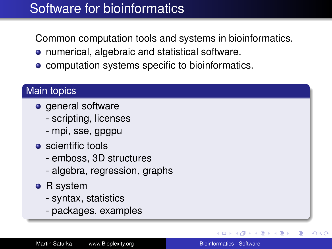# Software for bioinformatics

Common computation tools and systems in bioinformatics.

- numerical, algebraic and statistical software.
- **computation systems specific to bioinformatics.**

## Main topics

- general software
	- scripting, licenses
	- mpi, sse, gpgpu
- $\bullet$  scientific tools
	- emboss, 3D structures
	- algebra, regression, graphs
- R system
	- syntax, statistics
	- packages, examples

 $\triangleright$  -4  $\equiv$   $\triangleright$ 

 $2Q$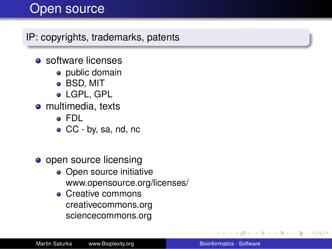# Open source

IP: copyrights, trademarks, patents

- $\bullet$  software licenses
	- public domain
	- BSD, MIT
	- LGPL, GPL
- multimedia, texts
	- FDL
	- CC by, sa, nd, nc
- open source licensing
	- Open source initiative www.opensource.org/licenses/
	- Creative commons creativecommons.org sciencecommons.org

 $\mathcal{A} \xrightarrow{\sim} \mathcal{B} \xrightarrow{\sim} \mathcal{A} \xrightarrow{\sim} \mathcal{B} \xrightarrow{\sim} \mathcal{B}$ 

÷.  $QQ$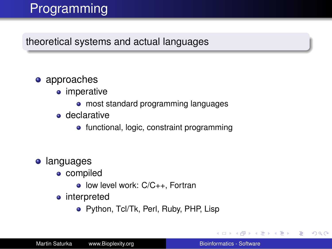# Programming

theoretical systems and actual languages

## • approaches

- imperative
	- most standard programming languages
- **o** declarative
	- functional, logic, constraint programming

## **•** languages

- compiled
	- low level work: C/C++, Fortran
- interpreted
	- Python, Tcl/Tk, Perl, Ruby, PHP, Lisp

K 何 ▶ K ヨ ▶ K ヨ ▶

重。  $QQ$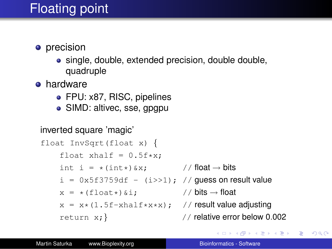# Floating point

- **•** precision
	- single, double, extended precision, double double, quadruple
- **•** hardware
	- FPU: x87, RISC, pipelines
	- SIMD: altivec, sse, gpgpu

### inverted square 'magic'

```
float InvSqrt(float x) {
    float xhalf = 0.5f*x;
    int i = *(int*) \& x; // float \rightarrow bits
    i = 0x5f3759df - (i \gg 1); // quess on result value
    x = * (float*)\&i; // bits \rightarrow float
    x = x*(1.5f-x \text{half} \cdot x \cdot x); // result value adjusting
    return x; // relative error below 0.002
```
イロト イ伊 トイヨ トイヨ トー

■  $2Q$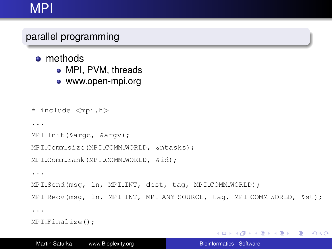# MPI

## parallel programming

- **o** methods
	- MPI, PVM, threads
	- www.open-mpi.org

```
# include <mpi.h>
...
MPI_Init(&argc, &argv);
MPI_Comm_size(MPI_COMM_WORLD, &ntasks);
MPI Comm rank(MPI COMM WORLD, &id);
...
MPI Send(msg, ln, MPI INT, dest, tag, MPI COMM WORLD);
MPI Recv(msq, ln, MPI INT, MPI ANY SOURCE, tag, MPI COMM WORLD, &st);
...
MPI Finalize();
```
KOD KARD KED KED E VONO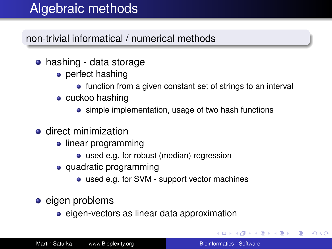# Algebraic methods

## non-trivial informatical / numerical methods

- hashing data storage
	- perfect hashing
		- function from a given constant set of strings to an interval
	- cuckoo hashing
		- simple implementation, usage of two hash functions
- **e** direct minimization
	- linear programming
		- used e.g. for robust (median) regression
	- quadratic programming
		- used e.g. for SVM support vector machines
- **e** eigen problems
	- eigen-vectors as linear data approximation

イロト イ押 トイヨ トイヨ トー

÷.  $QQ$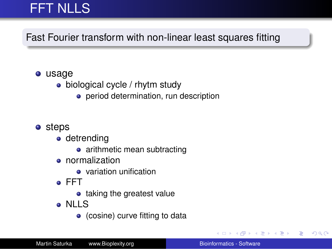# FFT NLLS

Fast Fourier transform with non-linear least squares fitting

#### usage

- biological cycle / rhytm study
	- **•** period determination, run description

### **o** steps

- detrending
	- arithmetic mean subtracting
- **•** normalization
	- $\bullet$  variation unification
- FFT
	- taking the greatest value
- NLLS
	- (cosine) curve fitting to data

**K ロ ▶ K 伺 ▶ K ヨ ▶ K ヨ ▶** 

重。  $QQ$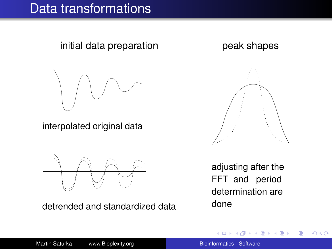# Data transformations

initial data preparation beak shapes



interpolated original data



detrended and standardized data



adjusting after the FFT and period determination are done

 $\rightarrow$  3  $\pm$  3  $\rightarrow$ 

 $2990$ 

B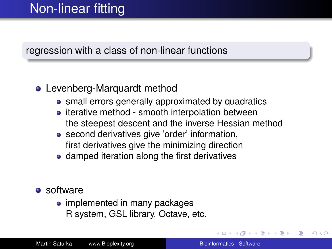### regression with a class of non-linear functions

### **•** Levenberg-Marquardt method

- small errors generally approximated by quadratics
- iterative method smooth interpolation between the steepest descent and the inverse Hessian method
- second derivatives give 'order' information, first derivatives give the minimizing direction
- damped iteration along the first derivatives

#### **o** software

• implemented in many packages R system, GSL library, Octave, etc.

つくい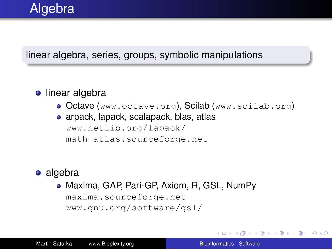### linear algebra, series, groups, symbolic manipulations

### **·** linear algebra

- Octave (www.octave.org), Scilab (www.scilab.org)
- arpack, lapack, scalapack, blas, atlas www.netlib.org/lapack/ math-atlas.sourceforge.net

### • algebra

Maxima, GAP, Pari-GP, Axiom, R, GSL, NumPy maxima.sourceforge.net www.gnu.org/software/gsl/

 $\langle \oplus \rangle$  >  $\langle \oplus \rangle$  >  $\langle \oplus \rangle$ 

B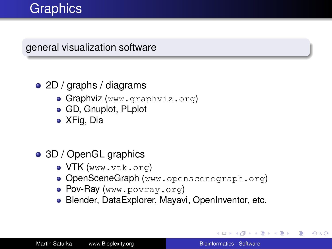# **Graphics**

general visualization software

## 2D / graphs / diagrams

- **Graphviz** (www.graphviz.org)
- GD, Gnuplot, PLplot
- XFig, Dia

## 3D / OpenGL graphics

- VTK (www.vtk.org)
- **OpenSceneGraph** (www.openscenegraph.org)
- **Pov-Ray** (www.povray.org)
- Blender, DataExplorer, Mayavi, OpenInventor, etc.

**≮ロ ▶ ⊀ 御 ▶ ⊀ ヨ ▶ ⊀ ヨ ▶** 

÷.  $QQ$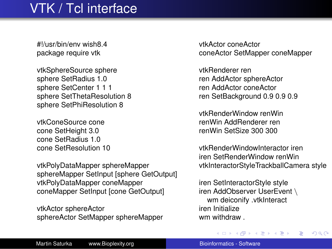# VTK / Tcl interface

#!/usr/bin/env wish8.4 package require vtk

vtkSphereSource sphere sphere SetRadius 1.0 sphere SetCenter 1 1 1 sphere SetThetaResolution 8 sphere SetPhiResolution 8

vtkConeSource cone cone SetHeight 3.0 cone SetRadius 1.0 cone SetResolution 10

vtkPolyDataMapper sphereMapper sphereMapper SetInput [sphere GetOutput] vtkPolyDataMapper coneMapper coneMapper SetInput [cone GetOutput]

vtkActor sphereActor sphereActor SetMapper sphereMapper vtkActor coneActor coneActor SetMapper coneMapper

vtkRenderer ren ren AddActor sphereActor ren AddActor coneActor ren SetBackground 0.9 0.9 0.9

vtkRenderWindow renWin renWin AddRenderer ren renWin SetSize 300 300

vtkRenderWindowInteractor iren iren SetRenderWindow renWin vtkInteractorStyleTrackballCamera style

iren SetInteractorStyle style iren AddObserver UserEvent \ wm deiconify .vtkInteract iren Initialize wm withdraw .

**K ロ ト K 伺 ト K ヨ ト K ヨ ト** 

B

 $2Q$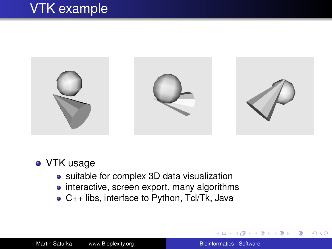# VTK example



### • VTK usage

- suitable for complex 3D data visualization
- interactive, screen export, many algorithms
- C++ libs, interface to Python, Tcl/Tk, Java

 $2990$ 

重き ă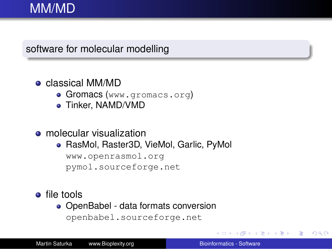### software for molecular modelling

### classical MM/MD

- **Gromacs** (www.gromacs.org)
- Tinker, NAMD/VMD

#### **•** molecular visualization

RasMol, Raster3D, VieMol, Garlic, PyMol

www.openrasmol.org

pymol.sourceforge.net

### **o** file tools

• OpenBabel - data formats conversion openbabel.sourceforge.net

 $2990$ 

B

 $\mathbb{R}^n \times \mathbb{R}^n \times \mathbb{R}^n$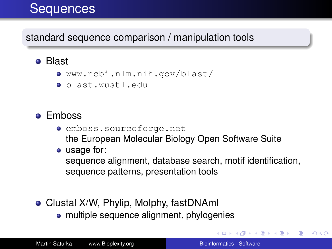# **Sequences**

## standard sequence comparison / manipulation tools

## **o** Blast

- www.ncbi.nlm.nih.gov/blast/
- blast.wustl.edu

## **•** Emboss

- emboss.sourceforge.net the European Molecular Biology Open Software Suite
- usage for:

sequence alignment, database search, motif identification, sequence patterns, presentation tools

- Clustal X/W, Phylip, Molphy, fastDNAml
	- multiple sequence alignment, phylogenies

重き メラメー

B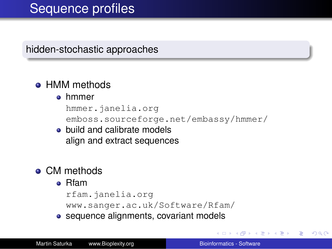hidden-stochastic approaches

## • HMM methods

#### **o** hmmer

hmmer.janelia.org emboss.sourceforge.net/embassy/hmmer/

• build and calibrate models align and extract sequences

# **• CM methods**

#### Rfam

```
rfam.janelia.org
```
www.sanger.ac.uk/Software/Rfam/

• sequence alignments, covariant models

→ 重 トー B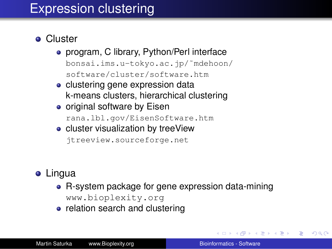# Expression clustering

- **•** Cluster
	- program, C library, Python/Perl interface bonsai.ims.u-tokyo.ac.jp/˜mdehoon/ software/cluster/software.htm
	- clustering gene expression data k-means clusters, hierarchical clustering
	- original software by Eisen rana.lbl.gov/EisenSoftware.htm
	- cluster visualization by treeView jtreeview.sourceforge.net

# **•** Lingua

- R-system package for gene expression data-mining www.bioplexity.org
- relation search and clustering

K 何 ▶ K ヨ ▶ K ヨ ▶ ..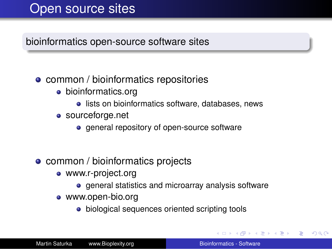# Open source sites

### bioinformatics open-source software sites

### • common / bioinformatics repositories

- bioinformatics.org
	- **.** lists on bioinformatics software, databases, news
- sourceforge.net
	- **e** general repository of open-source software
- common / bioinformatics projects
	- www.r-project.org
		- general statistics and microarray analysis software
	- www.open-bio.org
		- biological sequences oriented scripting tools

 $\left\{ \left\vert \left\{ \mathbf{P}\right\} \right\vert \times \left\{ \left\vert \mathbf{P}\right\vert \right\} \right\}$  and  $\left\{ \left\vert \mathbf{P}\right\vert \right\}$ 

÷.  $QQ$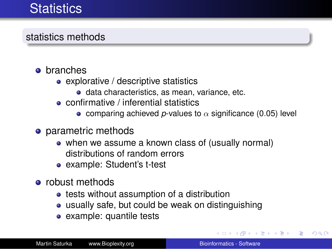# **Statistics**

## statistics methods

- **o** branches
	- explorative / descriptive statistics
		- **o** data characteristics, as mean, variance, etc.
	- confirmative / inferential statistics
		- **•** comparing achieved p-values to  $\alpha$  significance (0.05) level
- o parametric methods
	- when we assume a known class of (usually normal) distributions of random errors
	- example: Student's t-test
- robust methods
	- tests without assumption of a distribution
	- usually safe, but could be weak on distinguishing
	- example: quantile tests

**K ロ ▶ K 伺 ▶ K ヨ ▶ K ヨ ▶** 

G.  $QQ$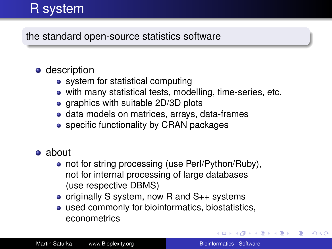# R system

the standard open-source statistics software

## **o** description

- system for statistical computing
- with many statistical tests, modelling, time-series, etc.
- graphics with suitable 2D/3D plots
- **•** data models on matrices, arrays, data-frames
- specific functionality by CRAN packages
- **a** about
	- not for string processing (use Perl/Python/Ruby), not for internal processing of large databases (use respective DBMS)
	- originally S system, now R and  $S_{++}$  systems
	- used commonly for bioinformatics, biostatistics, econometrics

4 **O + 4 fl** + 4

愛 おくぼ おし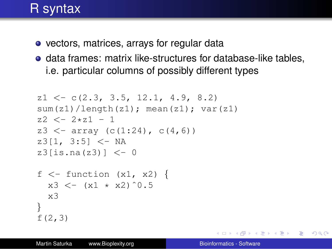# R syntax

- vectors, matrices, arrays for regular data
- **o** data frames: matrix like-structures for database-like tables, i.e. particular columns of possibly different types

```
z1 \leq -c(2.3, 3.5, 12.1, 4.9, 8.2)sum(z1)/length(z1); mean(z1); var(z1)
z^2 \leq -2 \times z^1 - 1z3 \le - array (c(1:24), c(4,6))z3[1, 3:5] < -NAz3[is.na(z3)] <-0f \leq - function (x1, x2) {
  x3 \le - (x1 \times x2)^0.5
  x3
}
f(2,3)
```
KOD KAP KED KED E YA G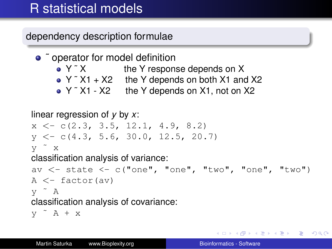# R statistical models

dependency description formulae

• <sup>o</sup> operator for model definition • Y ~ X the Y response depends on X  $\bullet$  Y  $\tilde{X}$  X1 + X2 the Y depends on both X1 and X2 • Y ~ X1 - X2 the Y depends on X1, not on X2

```
linear regression of y by x:
x \leq -c(2, 3, 3, 5, 12, 1, 4, 9, 8, 2)y \leq -c(4.3, 5.6, 30.0, 12.5, 20.7)y ˜ x
classification analysis of variance:
av \langle - state \langle -c("one", "one", "two", "one", "two")
A \leftarrow factor (av)
y ˜ A
classification analysis of covariance:
y A + x
```
KOD KAP KED KED E YA G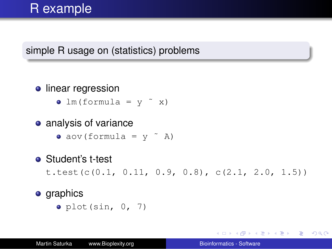# R example

## simple R usage on (statistics) problems

### **o** linear regression

- $\bullet$  lm(formula =  $v \sim x$ )
- analysis of variance
	- $\bullet$  aov(formula =  $y \sim$  A)
- Student's t-test

t.test(c(0.1, 0.11, 0.9, 0.8), c(2.1, 2.0, 1.5))

### **o** graphics

 $\bullet$  plot(sin, 0, 7)

KO KARA KE KA EK GA GA KA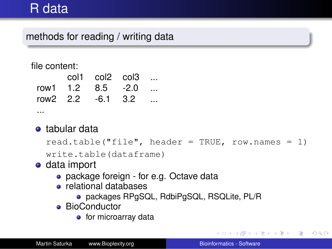# R data

## methods for reading / writing data

#### file content:

|  | $\text{col1}$ $\text{col2}$ $\text{col3}$ |  |
|--|-------------------------------------------|--|
|  | row1 1.2 8.5 -2.0                         |  |
|  | row2 2.2 -6.1 3.2                         |  |
|  |                                           |  |

### **•** tabular data

```
read.table("file", header = TRUE, row.names = 1)
```

```
write.table(dataframe)
```
### data import

- package foreign for e.g. Octave data
- relational databases
	- packages RPgSQL, RdbiPgSQL, RSQLite, PL/R
- **•** BioConductor
	- $\bullet$  for microarray data

イロト イ押 トイヨ トイヨ トーヨー

 $200$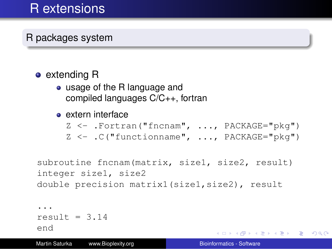# R extensions

## R packages system

### • extending R

usage of the R language and compiled languages C/C++, fortran

#### extern interface

```
Z <- .Fortran("fncnam", ..., PACKAGE="pkg")
Z <- .C("functionname", ..., PACKAGE="pkg")
```

```
subroutine fncnam(matrix, size1, size2, result)
integer size1, size2
double precision matrix1(size1,size2), result
```

```
...
result = 3.14end
```
Martin Saturka www.Bioplexity.org **Bionic Biomatics - Software** Biomatics - Software

KOD KAP KED KED E YA G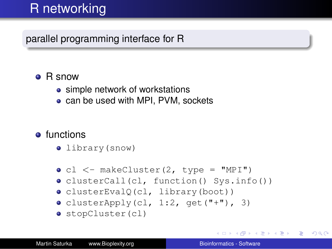# R networking

parallel programming interface for R

## • R snow

- simple network of workstations
- can be used with MPI, PVM, sockets

## **o** functions

- library(snow)
- $\bullet$  cl  $\lt$  makeCluster(2, type = "MPI")
- clusterCall(cl, function() Sys.info())
- clusterEvalQ(cl, library(boot))
- $\bullet$  clusterApply(cl, 1:2, qet("+"), 3)
- o stopCluster(cl)

KO KARA KE KA EK GA GA KA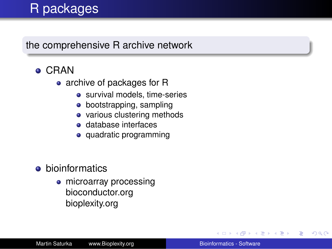# R packages

### the comprehensive R archive network

- CRAN
	- archive of packages for R
		- survival models, time-series
		- bootstrapping, sampling
		- various clustering methods
		- database interfaces
		- quadratic programming
- **•** bioinformatics
	- microarray processing bioconductor.org bioplexity.org

ミメス ヨメ

B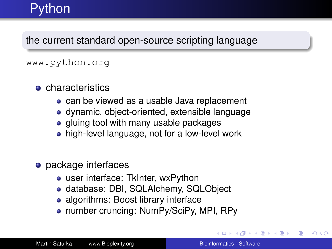# **Python**

the current standard open-source scripting language

#### www.python.org

- **o** characteristics
	- can be viewed as a usable Java replacement
	- dynamic, object-oriented, extensible language
	- gluing tool with many usable packages
	- high-level language, not for a low-level work
- package interfaces
	- user interface: TkInter, wxPython
	- database: DBI, SQLAlchemy, SQLObject
	- algorithms: Boost library interface
	- number cruncing: NumPy/SciPy, MPI, RPy

おす 重 おし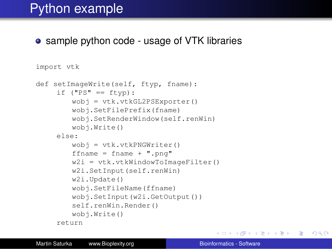# Python example

#### • sample python code - usage of VTK libraries

```
import vtk
def setImageWrite(self, ftyp, fname):
     if ("PS" == ftvp):wobj = vtk.vtkGL2PSExporter()
        wobj.SetFilePrefix(fname)
        wobj.SetRenderWindow(self.renWin)
        wobj.Write()
     else:
        wobj = vtk.vtkPNGWriter()
        ffname = fname + ".png"
        w2i = vtk.vtkWindowToImageFilter()w2i.SetInput(self.renWin)
        w2i.Update()
        wobj.SetFileName(ffname)
        wobj.SetInput(w2i.GetOutput())
        self.renWin.Render()
        wobj.Write()
     return
```
KOD KAP KED KED E YA G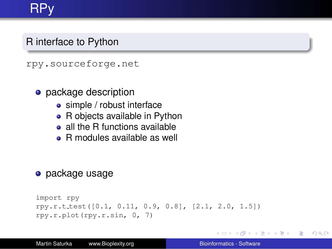# RPy

## R interface to Python

rpy.sourceforge.net

- package description
	- simple / robust interface
	- R objects available in Python
	- all the R functions available
	- R modules available as well

### **•** package usage

```
import rpy
rpy.r.t test([0.1, 0.11, 0.9, 0.8], [2.1, 2.0, 1.5])
rpy.r.plot(rpy.r.sin, 0, 7)
```
イロト イ伊 トイヨ トイヨ トー

 $E \Omega Q$